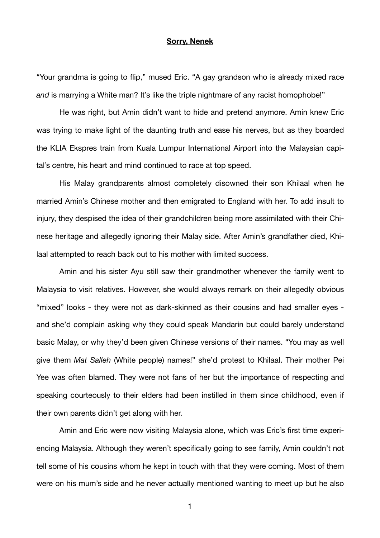## **Sorry, Nenek**

"Your grandma is going to flip," mused Eric. "A gay grandson who is already mixed race and is marrying a White man? It's like the triple nightmare of any racist homophobe!"

He was right, but Amin didn't want to hide and pretend anymore. Amin knew Eric was trying to make light of the daunting truth and ease his nerves, but as they boarded the KLIA Ekspres train from Kuala Lumpur International Airport into the Malaysian capital's centre, his heart and mind continued to race at top speed.

His Malay grandparents almost completely disowned their son Khilaal when he married Amin's Chinese mother and then emigrated to England with her. To add insult to injury, they despised the idea of their grandchildren being more assimilated with their Chinese heritage and allegedly ignoring their Malay side. After Amin's grandfather died, Khilaal attempted to reach back out to his mother with limited success.

Amin and his sister Ayu still saw their grandmother whenever the family went to Malaysia to visit relatives. However, she would always remark on their allegedly obvious "mixed" looks - they were not as dark-skinned as their cousins and had smaller eyes and she'd complain asking why they could speak Mandarin but could barely understand basic Malay, or why they'd been given Chinese versions of their names. "You may as well give them *Mat Salleh* (White people) names!" she'd protest to Khilaal. Their mother Pei Yee was often blamed. They were not fans of her but the importance of respecting and speaking courteously to their elders had been instilled in them since childhood, even if their own parents didn't get along with her.

Amin and Eric were now visiting Malaysia alone, which was Eric's first time experiencing Malaysia. Although they weren't specifically going to see family, Amin couldn't not tell some of his cousins whom he kept in touch with that they were coming. Most of them were on his mum's side and he never actually mentioned wanting to meet up but he also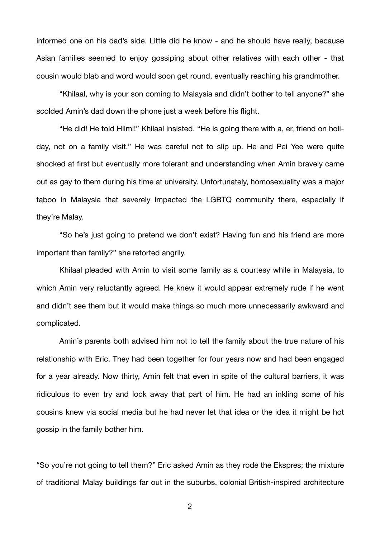informed one on his dad's side. Little did he know - and he should have really, because Asian families seemed to enjoy gossiping about other relatives with each other - that cousin would blab and word would soon get round, eventually reaching his grandmother.

"Khilaal, why is your son coming to Malaysia and didn't bother to tell anyone?" she scolded Amin's dad down the phone just a week before his flight.

"He did! He told Hilmi!" Khilaal insisted. "He is going there with a, er, friend on holiday, not on a family visit." He was careful not to slip up. He and Pei Yee were quite shocked at first but eventually more tolerant and understanding when Amin bravely came out as gay to them during his time at university. Unfortunately, homosexuality was a major taboo in Malaysia that severely impacted the LGBTQ community there, especially if they're Malay.

"So he's just going to pretend we don't exist? Having fun and his friend are more important than family?" she retorted angrily.

Khilaal pleaded with Amin to visit some family as a courtesy while in Malaysia, to which Amin very reluctantly agreed. He knew it would appear extremely rude if he went and didn't see them but it would make things so much more unnecessarily awkward and complicated.

Amin's parents both advised him not to tell the family about the true nature of his relationship with Eric. They had been together for four years now and had been engaged for a year already. Now thirty, Amin felt that even in spite of the cultural barriers, it was ridiculous to even try and lock away that part of him. He had an inkling some of his cousins knew via social media but he had never let that idea or the idea it might be hot gossip in the family bother him.

"So you're not going to tell them?" Eric asked Amin as they rode the Ekspres; the mixture of traditional Malay buildings far out in the suburbs, colonial British-inspired architecture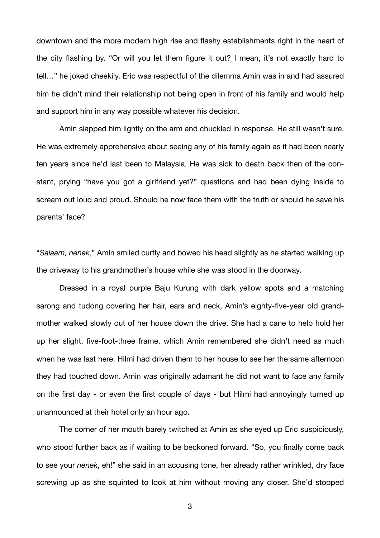downtown and the more modern high rise and flashy establishments right in the heart of the city flashing by. "Or will you let them figure it out? I mean, it's not exactly hard to tell…" he joked cheekily. Eric was respectful of the dilemma Amin was in and had assured him he didn't mind their relationship not being open in front of his family and would help and support him in any way possible whatever his decision.

Amin slapped him lightly on the arm and chuckled in response. He still wasn't sure. He was extremely apprehensive about seeing any of his family again as it had been nearly ten years since he'd last been to Malaysia. He was sick to death back then of the constant, prying "have you got a girlfriend yet?" questions and had been dying inside to scream out loud and proud. Should he now face them with the truth or should he save his parents' face?

"*Salaam, nenek*," Amin smiled curtly and bowed his head slightly as he started walking up the driveway to his grandmother's house while she was stood in the doorway.

Dressed in a royal purple Baju Kurung with dark yellow spots and a matching sarong and tudong covering her hair, ears and neck, Amin's eighty-five-year old grandmother walked slowly out of her house down the drive. She had a cane to help hold her up her slight, five-foot-three frame, which Amin remembered she didn't need as much when he was last here. Hilmi had driven them to her house to see her the same afternoon they had touched down. Amin was originally adamant he did not want to face any family on the first day - or even the first couple of days - but Hilmi had annoyingly turned up unannounced at their hotel only an hour ago.

The corner of her mouth barely twitched at Amin as she eyed up Eric suspiciously, who stood further back as if waiting to be beckoned forward. "So, you finally come back to see your *nenek*, eh!" she said in an accusing tone, her already rather wrinkled, dry face screwing up as she squinted to look at him without moving any closer. She'd stopped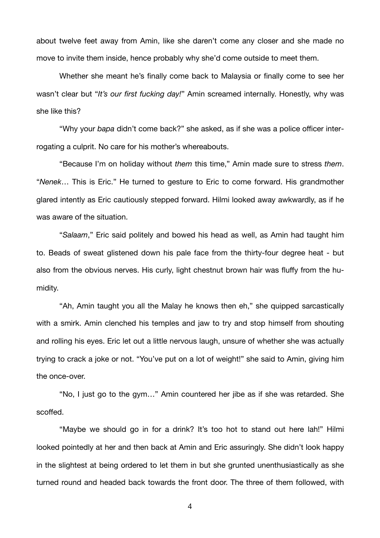about twelve feet away from Amin, like she daren't come any closer and she made no move to invite them inside, hence probably why she'd come outside to meet them.

Whether she meant he's finally come back to Malaysia or finally come to see her wasn't clear but "*It's our first fucking day!*" Amin screamed internally. Honestly, why was she like this?

"Why your *bapa* didn't come back?" she asked, as if she was a police officer interrogating a culprit. No care for his mother's whereabouts.

"Because I'm on holiday without *them* this time," Amin made sure to stress *them*. "*Nenek*… This is Eric." He turned to gesture to Eric to come forward. His grandmother glared intently as Eric cautiously stepped forward. Hilmi looked away awkwardly, as if he was aware of the situation.

"*Salaam*," Eric said politely and bowed his head as well, as Amin had taught him to. Beads of sweat glistened down his pale face from the thirty-four degree heat - but also from the obvious nerves. His curly, light chestnut brown hair was fluffy from the humidity.

"Ah, Amin taught you all the Malay he knows then eh," she quipped sarcastically with a smirk. Amin clenched his temples and jaw to try and stop himself from shouting and rolling his eyes. Eric let out a little nervous laugh, unsure of whether she was actually trying to crack a joke or not. "You've put on a lot of weight!" she said to Amin, giving him the once-over.

"No, I just go to the gym…" Amin countered her jibe as if she was retarded. She scoffed.

"Maybe we should go in for a drink? It's too hot to stand out here lah!" Hilmi looked pointedly at her and then back at Amin and Eric assuringly. She didn't look happy in the slightest at being ordered to let them in but she grunted unenthusiastically as she turned round and headed back towards the front door. The three of them followed, with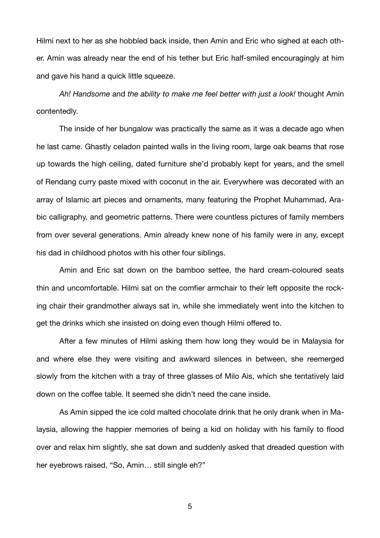Hilmi next to her as she hobbled back inside, then Amin and Eric who sighed at each other. Amin was already near the end of his tether but Eric half-smiled encouragingly at him and gave his hand a quick little squeeze.

*Ah! Handsome* and *the ability to make me feel better with just a look!* thought Amin contentedly.

The inside of her bungalow was practically the same as it was a decade ago when he last came. Ghastly celadon painted walls in the living room, large oak beams that rose up towards the high ceiling, dated furniture she'd probably kept for years, and the smell of Rendang curry paste mixed with coconut in the air. Everywhere was decorated with an array of Islamic art pieces and ornaments, many featuring the Prophet Muhammad, Arabic calligraphy, and geometric patterns. There were countless pictures of family members from over several generations. Amin already knew none of his family were in any, except his dad in childhood photos with his other four siblings.

Amin and Eric sat down on the bamboo settee, the hard cream-coloured seats thin and uncomfortable. Hilmi sat on the comfier armchair to their left opposite the rocking chair their grandmother always sat in, while she immediately went into the kitchen to get the drinks which she insisted on doing even though Hilmi offered to.

After a few minutes of Hilmi asking them how long they would be in Malaysia for and where else they were visiting and awkward silences in between, she reemerged slowly from the kitchen with a tray of three glasses of Milo Ais, which she tentatively laid down on the coffee table. It seemed she didn't need the cane inside.

As Amin sipped the ice cold malted chocolate drink that he only drank when in Malaysia, allowing the happier memories of being a kid on holiday with his family to flood over and relax him slightly, she sat down and suddenly asked that dreaded question with her eyebrows raised. "So, Amin... still single eh?"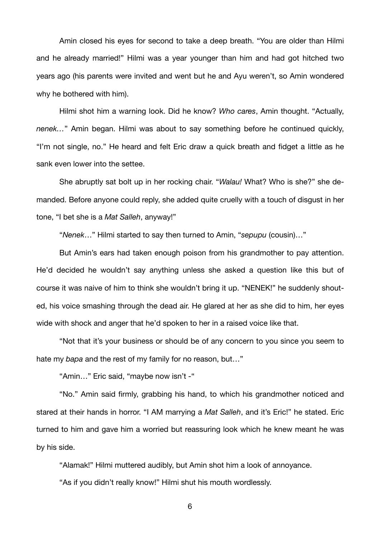Amin closed his eyes for second to take a deep breath. "You are older than Hilmi and he already married!" Hilmi was a year younger than him and had got hitched two years ago (his parents were invited and went but he and Ayu weren't, so Amin wondered why he bothered with him).

Hilmi shot him a warning look. Did he know? *Who cares*, Amin thought. "Actually, *nenek…*" Amin began. Hilmi was about to say something before he continued quickly, "I'm not single, no." He heard and felt Eric draw a quick breath and fidget a little as he sank even lower into the settee.

She abruptly sat bolt up in her rocking chair. "*Walau!* What? Who is she?" she demanded. Before anyone could reply, she added quite cruelly with a touch of disgust in her tone, "I bet she is a *Mat Salleh*, anyway!"

"*Nenek*…" Hilmi started to say then turned to Amin, "*sepupu* (cousin)…"

But Amin's ears had taken enough poison from his grandmother to pay attention. He'd decided he wouldn't say anything unless she asked a question like this but of course it was naive of him to think she wouldn't bring it up. "NENEK!" he suddenly shouted, his voice smashing through the dead air. He glared at her as she did to him, her eyes wide with shock and anger that he'd spoken to her in a raised voice like that.

"Not that it's your business or should be of any concern to you since you seem to hate my *bapa* and the rest of my family for no reason, but…"

"Amin…" Eric said, "maybe now isn't -"

"No." Amin said firmly, grabbing his hand, to which his grandmother noticed and stared at their hands in horror. "I AM marrying a *Mat Salleh*, and it's Eric!" he stated. Eric turned to him and gave him a worried but reassuring look which he knew meant he was by his side.

"Alamak!" Hilmi muttered audibly, but Amin shot him a look of annoyance.

"As if you didn't really know!" Hilmi shut his mouth wordlessly.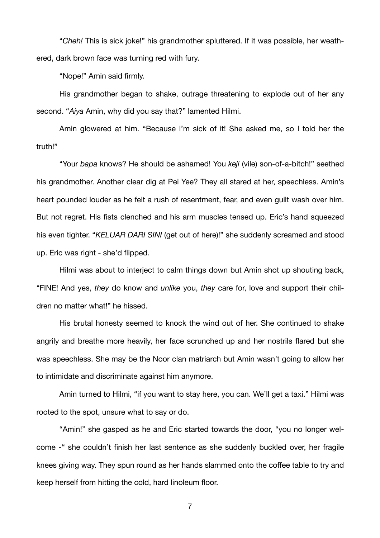"*Cheh!* This is sick joke!" his grandmother spluttered. If it was possible, her weathered, dark brown face was turning red with fury.

"Nope!" Amin said firmly.

His grandmother began to shake, outrage threatening to explode out of her any second. "*Aiya* Amin, why did you say that?" lamented Hilmi.

Amin glowered at him. "Because I'm sick of it! She asked me, so I told her the truth!"

"Your *bapa* knows? He should be ashamed! You *keji* (vile) son-of-a-bitch!" seethed his grandmother. Another clear dig at Pei Yee? They all stared at her, speechless. Amin's heart pounded louder as he felt a rush of resentment, fear, and even guilt wash over him. But not regret. His fists clenched and his arm muscles tensed up. Eric's hand squeezed his even tighter. "*KELUAR DARI SINI* (get out of here)!" she suddenly screamed and stood up. Eric was right - she'd flipped.

Hilmi was about to interject to calm things down but Amin shot up shouting back, "FINE! And yes, *they* do know and *unlike* you, *they* care for, love and support their children no matter what!" he hissed.

His brutal honesty seemed to knock the wind out of her. She continued to shake angrily and breathe more heavily, her face scrunched up and her nostrils flared but she was speechless. She may be the Noor clan matriarch but Amin wasn't going to allow her to intimidate and discriminate against him anymore.

Amin turned to Hilmi, "if you want to stay here, you can. We'll get a taxi." Hilmi was rooted to the spot, unsure what to say or do.

"Amin!" she gasped as he and Eric started towards the door, "you no longer welcome -" she couldn't finish her last sentence as she suddenly buckled over, her fragile knees giving way. They spun round as her hands slammed onto the coffee table to try and keep herself from hitting the cold, hard linoleum floor.